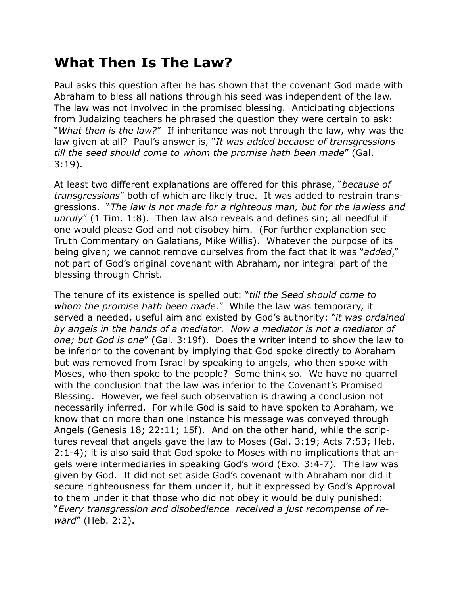## **What Then Is The Law?**

Paul asks this question after he has shown that the covenant God made with Abraham to bless all nations through his seed was independent of the law. The law was not involved in the promised blessing. Anticipating objections from Judaizing teachers he phrased the question they were certain to ask: "*What then is the law?*" If inheritance was not through the law, why was the law given at all? Paul's answer is, "*It was added because of transgressions till the seed should come to whom the promise hath been made*" (Gal. 3:19).

At least two different explanations are offered for this phrase, "*because of transgressions*" both of which are likely true. It was added to restrain transgressions. "*The law is not made for a righteous man, but for the lawless and unruly*" (1 Tim. 1:8). Then law also reveals and defines sin; all needful if one would please God and not disobey him. (For further explanation see Truth Commentary on Galatians, Mike Willis). Whatever the purpose of its being given; we cannot remove ourselves from the fact that it was "*added*," not part of God's original covenant with Abraham, nor integral part of the blessing through Christ.

The tenure of its existence is spelled out: "*till the Seed should come to whom the promise hath been made.*" While the law was temporary, it served a needed, useful aim and existed by God's authority: "*it was ordained by angels in the hands of a mediator. Now a mediator is not a mediator of one; but God is one*" (Gal. 3:19f). Does the writer intend to show the law to be inferior to the covenant by implying that God spoke directly to Abraham but was removed from Israel by speaking to angels, who then spoke with Moses, who then spoke to the people? Some think so. We have no quarrel with the conclusion that the law was inferior to the Covenant's Promised Blessing. However, we feel such observation is drawing a conclusion not necessarily inferred. For while God is said to have spoken to Abraham, we know that on more than one instance his message was conveyed through Angels (Genesis 18; 22:11; 15f). And on the other hand, while the scriptures reveal that angels gave the law to Moses (Gal. 3:19; Acts 7:53; Heb. 2:1-4); it is also said that God spoke to Moses with no implications that angels were intermediaries in speaking God's word (Exo. 3:4-7). The law was given by God. It did not set aside God's covenant with Abraham nor did it secure righteousness for them under it, but it expressed by God's Approval to them under it that those who did not obey it would be duly punished: "*Every transgression and disobedience received a just recompense of reward*" (Heb. 2:2).